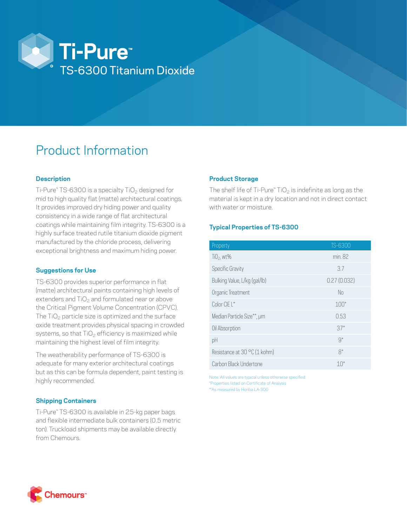

# Product Information

# **Description**

Ti-Pure™ TS-6300 is a specialty TiO<sub>2</sub> designed for mid to high quality flat (matte) architectural coatings. It provides improved dry hiding power and quality consistency in a wide range of flat architectural coatings while maintaining film integrity. TS-6300 is a highly surface treated rutile titanium dioxide pigment manufactured by the chloride process, delivering exceptional brightness and maximum hiding power.

### **Suggestions for Use**

TS-6300 provides superior performance in flat (matte) architectural paints containing high levels of extenders and  $TiO<sub>2</sub>$  and formulated near or above the Critical Pigment Volume Concentration (CPVC). The  $TiO<sub>2</sub>$  particle size is optimized and the surface oxide treatment provides physical spacing in crowded systems, so that  $TiO<sub>2</sub>$  efficiency is maximized while maintaining the highest level of film integrity.

The weatherability performance of TS-6300 is adequate for many exterior architectural coatings but as this can be formula dependent, paint testing is highly recommended.

### **Shipping Containers**

Ti-Pure™ TS-6300 is available in 25-kg paper bags and flexible intermediate bulk containers (0.5 metric ton). Truckload shipments may be available directly from Chemours.

# **Product Storage**

The shelf life of Ti-Pure<sup>™</sup> TiO<sub>2</sub> is indefinite as long as the material is kept in a dry location and not in direct contact with water or moisture.

# **Typical Properties of TS-6300**

| Property                     | TS-6300     |
|------------------------------|-------------|
| $TiO2$ , wt%                 | min. 82     |
| Specific Gravity             | 3.7         |
| Bulking Value, L/kg (gal/lb) | 0.27(0.032) |
| Organic Treatment            | No          |
| Color CIE L*                 | $100*$      |
| Median Particle Size**, µm   | 0.53        |
| Oil Absorption               | $37*$       |
| pH                           | $9*$        |
| Resistance at 30 °C (1 kohm) | $8*$        |
| Carbon Black Undertone       | $10^*$      |

Note: All values are typical unless otherwise specified. \*Properties listed on Certificate of Analysis \*\*As measured by Horiba LA-300